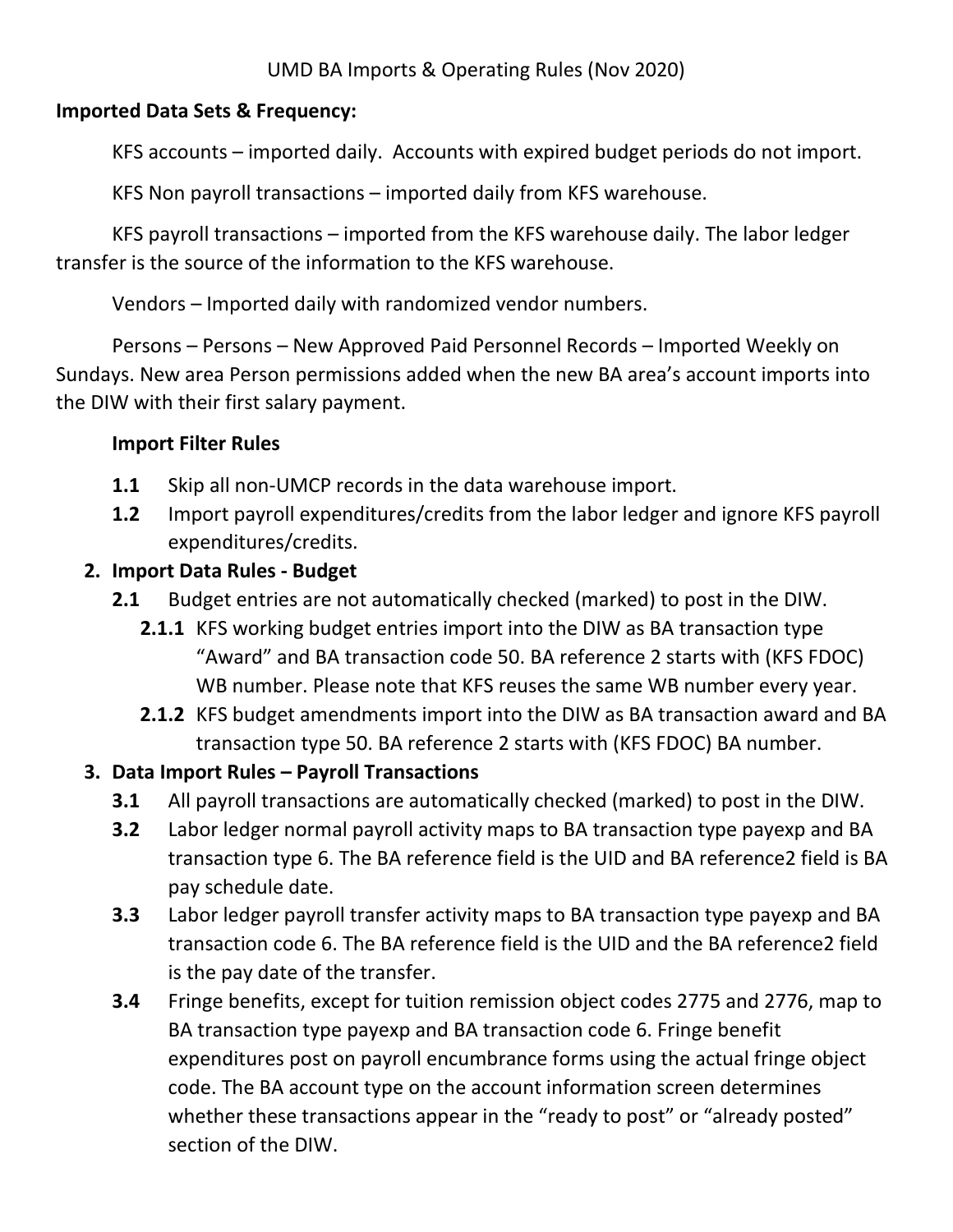#### **Imported Data Sets & Frequency:**

KFS accounts – imported daily. Accounts with expired budget periods do not import.

KFS Non payroll transactions – imported daily from KFS warehouse.

KFS payroll transactions – imported from the KFS warehouse daily. The labor ledger transfer is the source of the information to the KFS warehouse.

Vendors – Imported daily with randomized vendor numbers.

Persons – Persons – New Approved Paid Personnel Records – Imported Weekly on Sundays. New area Person permissions added when the new BA area's account imports into the DIW with their first salary payment.

# **Import Filter Rules**

- **1.1** Skip all non-UMCP records in the data warehouse import.
- **1.2** Import payroll expenditures/credits from the labor ledger and ignore KFS payroll expenditures/credits.

# **2. Import Data Rules - Budget**

- **2.1** Budget entries are not automatically checked (marked) to post in the DIW.
	- **2.1.1** KFS working budget entries import into the DIW as BA transaction type "Award" and BA transaction code 50. BA reference 2 starts with (KFS FDOC) WB number. Please note that KFS reuses the same WB number every year.
	- **2.1.2** KFS budget amendments import into the DIW as BA transaction award and BA transaction type 50. BA reference 2 starts with (KFS FDOC) BA number.

# **3. Data Import Rules – Payroll Transactions**

- **3.1** All payroll transactions are automatically checked (marked) to post in the DIW.
- **3.2** Labor ledger normal payroll activity maps to BA transaction type payexp and BA transaction type 6. The BA reference field is the UID and BA reference2 field is BA pay schedule date.
- **3.3** Labor ledger payroll transfer activity maps to BA transaction type payexp and BA transaction code 6. The BA reference field is the UID and the BA reference2 field is the pay date of the transfer.
- **3.4** Fringe benefits, except for tuition remission object codes 2775 and 2776, map to BA transaction type payexp and BA transaction code 6. Fringe benefit expenditures post on payroll encumbrance forms using the actual fringe object code. The BA account type on the account information screen determines whether these transactions appear in the "ready to post" or "already posted" section of the DIW.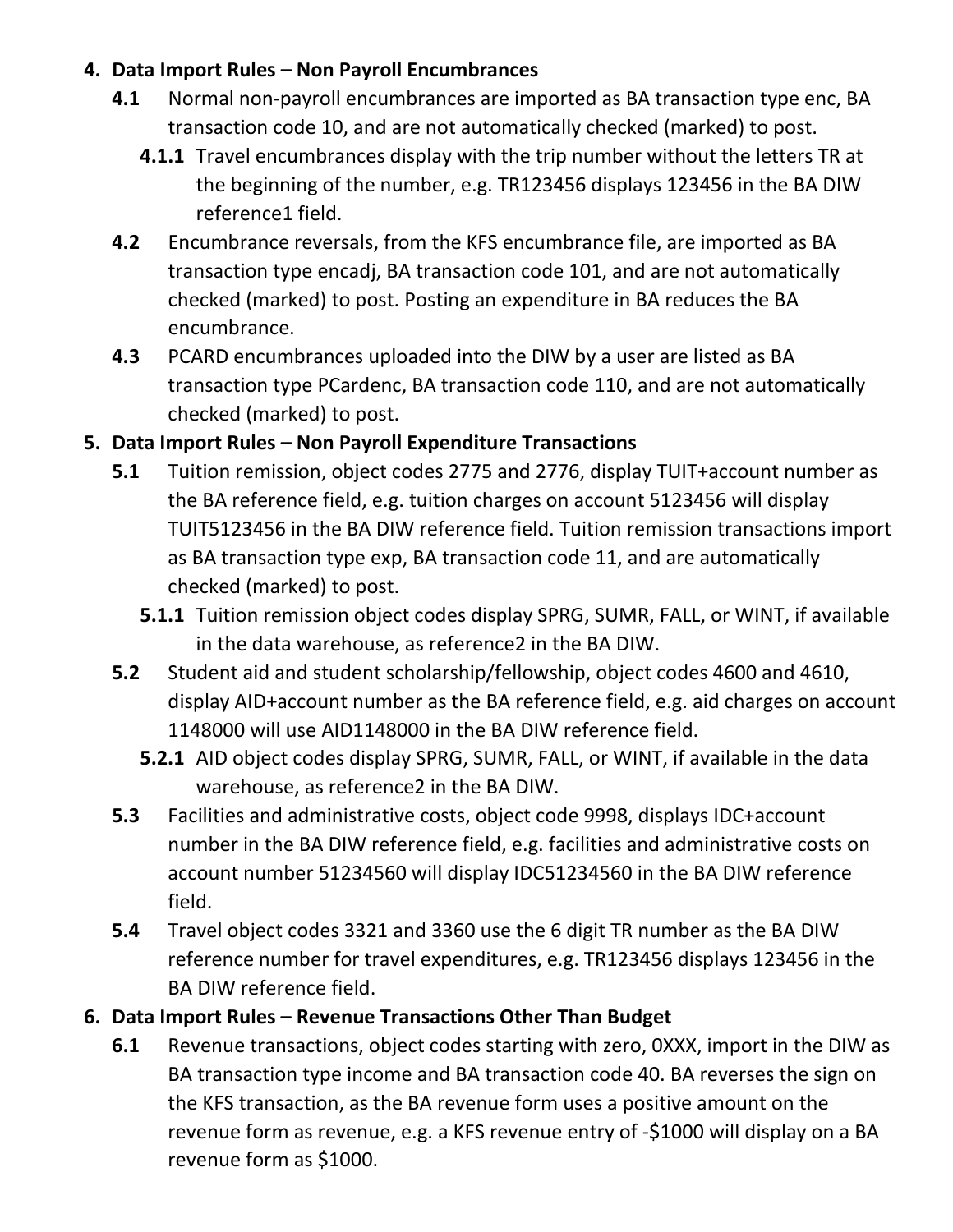#### **4. Data Import Rules – Non Payroll Encumbrances**

- **4.1** Normal non-payroll encumbrances are imported as BA transaction type enc, BA transaction code 10, and are not automatically checked (marked) to post.
	- **4.1.1** Travel encumbrances display with the trip number without the letters TR at the beginning of the number, e.g. TR123456 displays 123456 in the BA DIW reference1 field.
- **4.2** Encumbrance reversals, from the KFS encumbrance file, are imported as BA transaction type encadj, BA transaction code 101, and are not automatically checked (marked) to post. Posting an expenditure in BA reduces the BA encumbrance.
- **4.3** PCARD encumbrances uploaded into the DIW by a user are listed as BA transaction type PCardenc, BA transaction code 110, and are not automatically checked (marked) to post.

## **5. Data Import Rules – Non Payroll Expenditure Transactions**

- **5.1** Tuition remission, object codes 2775 and 2776, display TUIT+account number as the BA reference field, e.g. tuition charges on account 5123456 will display TUIT5123456 in the BA DIW reference field. Tuition remission transactions import as BA transaction type exp, BA transaction code 11, and are automatically checked (marked) to post.
	- **5.1.1** Tuition remission object codes display SPRG, SUMR, FALL, or WINT, if available in the data warehouse, as reference2 in the BA DIW.
- **5.2** Student aid and student scholarship/fellowship, object codes 4600 and 4610, display AID+account number as the BA reference field, e.g. aid charges on account 1148000 will use AID1148000 in the BA DIW reference field.
	- **5.2.1** AID object codes display SPRG, SUMR, FALL, or WINT, if available in the data warehouse, as reference2 in the BA DIW.
- **5.3** Facilities and administrative costs, object code 9998, displays IDC+account number in the BA DIW reference field, e.g. facilities and administrative costs on account number 51234560 will display IDC51234560 in the BA DIW reference field.
- **5.4** Travel object codes 3321 and 3360 use the 6 digit TR number as the BA DIW reference number for travel expenditures, e.g. TR123456 displays 123456 in the BA DIW reference field.

## **6. Data Import Rules – Revenue Transactions Other Than Budget**

**6.1** Revenue transactions, object codes starting with zero, 0XXX, import in the DIW as BA transaction type income and BA transaction code 40. BA reverses the sign on the KFS transaction, as the BA revenue form uses a positive amount on the revenue form as revenue, e.g. a KFS revenue entry of -\$1000 will display on a BA revenue form as \$1000.